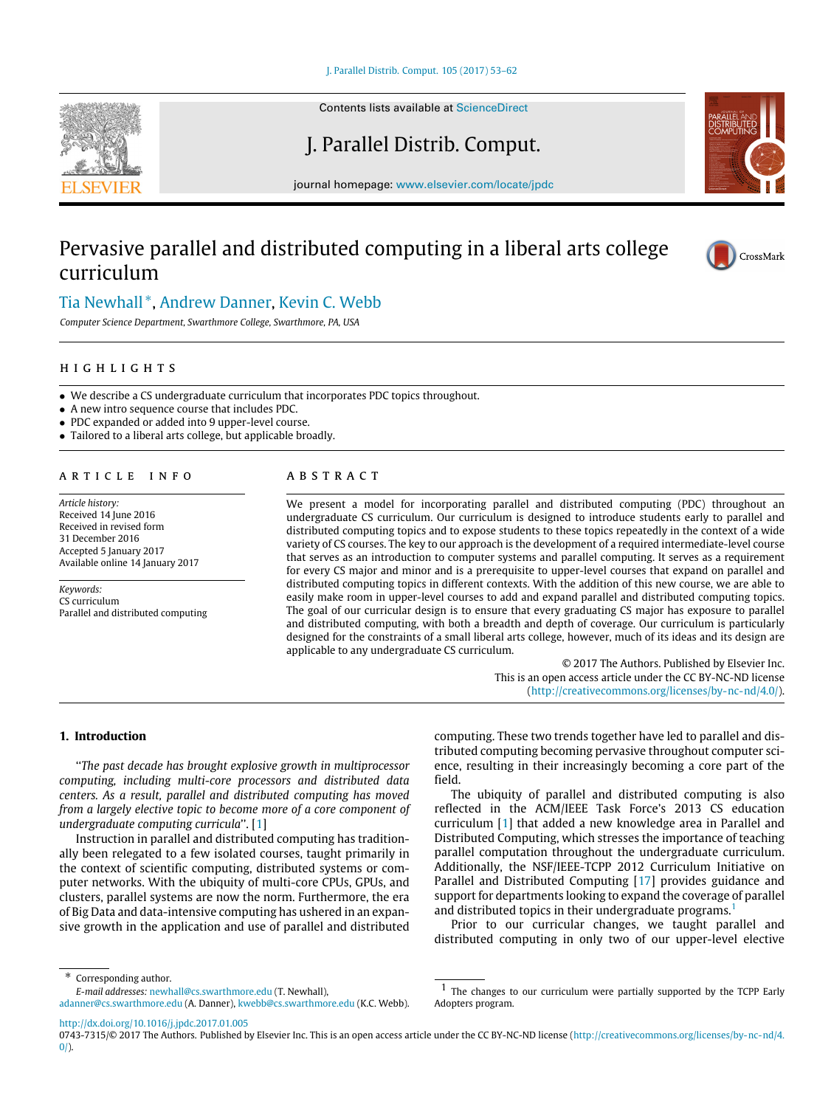[J. Parallel Distrib. Comput. 105 \(2017\) 53–62](http://dx.doi.org/10.1016/j.jpdc.2017.01.005)



Contents lists available at [ScienceDirect](http://www.elsevier.com/locate/jpdc)

# J. Parallel Distrib. Comput.

journal homepage: [www.elsevier.com/locate/jpdc](http://www.elsevier.com/locate/jpdc)

# Pervasive parallel and distributed computing in a liberal arts college curriculum





## [Tia Newhall](#page-9-0) [∗](#page-0-0) , [Andrew Danner,](#page-9-1) [Kevin C. Webb](#page-9-2)

*Computer Science Department, Swarthmore College, Swarthmore, PA, USA*

## h i g h l i g h t s

- We describe a CS undergraduate curriculum that incorporates PDC topics throughout.
- A new intro sequence course that includes PDC.
- PDC expanded or added into 9 upper-level course.
- Tailored to a liberal arts college, but applicable broadly.

### A R T I C L E I N F O

*Article history:* Received 14 June 2016 Received in revised form 31 December 2016 Accepted 5 January 2017 Available online 14 January 2017

*Keywords:* CS curriculum Parallel and distributed computing

## a b s t r a c t

We present a model for incorporating parallel and distributed computing (PDC) throughout an undergraduate CS curriculum. Our curriculum is designed to introduce students early to parallel and distributed computing topics and to expose students to these topics repeatedly in the context of a wide variety of CS courses. The key to our approach is the development of a required intermediate-level course that serves as an introduction to computer systems and parallel computing. It serves as a requirement for every CS major and minor and is a prerequisite to upper-level courses that expand on parallel and distributed computing topics in different contexts. With the addition of this new course, we are able to easily make room in upper-level courses to add and expand parallel and distributed computing topics. The goal of our curricular design is to ensure that every graduating CS major has exposure to parallel and distributed computing, with both a breadth and depth of coverage. Our curriculum is particularly designed for the constraints of a small liberal arts college, however, much of its ideas and its design are applicable to any undergraduate CS curriculum.

> © 2017 The Authors. Published by Elsevier Inc. This is an open access article under the CC BY-NC-ND license [\(http://creativecommons.org/licenses/by-nc-nd/4.0/\)](http://creativecommons.org/licenses/by-nc-nd/4.0/).

## **1. Introduction**

''*The past decade has brought explosive growth in multiprocessor computing, including multi-core processors and distributed data centers. As a result, parallel and distributed computing has moved from a largely elective topic to become more of a core component of undergraduate computing curricula*''. [\[1\]](#page-8-0)

Instruction in parallel and distributed computing has traditionally been relegated to a few isolated courses, taught primarily in the context of scientific computing, distributed systems or computer networks. With the ubiquity of multi-core CPUs, GPUs, and clusters, parallel systems are now the norm. Furthermore, the era of Big Data and data-intensive computing has ushered in an expansive growth in the application and use of parallel and distributed

computing. These two trends together have led to parallel and distributed computing becoming pervasive throughout computer science, resulting in their increasingly becoming a core part of the field.

The ubiquity of parallel and distributed computing is also reflected in the ACM/IEEE Task Force's 2013 CS education curriculum [\[1\]](#page-8-0) that added a new knowledge area in Parallel and Distributed Computing, which stresses the importance of teaching parallel computation throughout the undergraduate curriculum. Additionally, the NSF/IEEE-TCPP 2012 Curriculum Initiative on Parallel and Distributed Computing [\[17\]](#page-9-3) provides guidance and support for departments looking to expand the coverage of parallel and distributed topics in their undergraduate programs.<sup>[1](#page-0-1)</sup>

Prior to our curricular changes, we taught parallel and distributed computing in only two of our upper-level elective

<span id="page-0-0"></span>Corresponding author.

*E-mail addresses:* [newhall@cs.swarthmore.edu](mailto:newhall@cs.swarthmore.edu) (T. Newhall), [adanner@cs.swarthmore.edu](mailto:adanner@cs.swarthmore.edu) (A. Danner), [kwebb@cs.swarthmore.edu](mailto:kwebb@cs.swarthmore.edu) (K.C. Webb).

<http://dx.doi.org/10.1016/j.jpdc.2017.01.005>

<span id="page-0-1"></span><sup>1</sup> The changes to our curriculum were partially supported by the TCPP Early Adopters program.

<sup>0743-7315/© 2017</sup> The Authors. Published by Elsevier Inc. This is an open access article under the CC BY-NC-ND license [\(http://creativecommons.org/licenses/by-nc-nd/4.](http://creativecommons.org/licenses/by-nc-nd/4.0/)  $0$ ).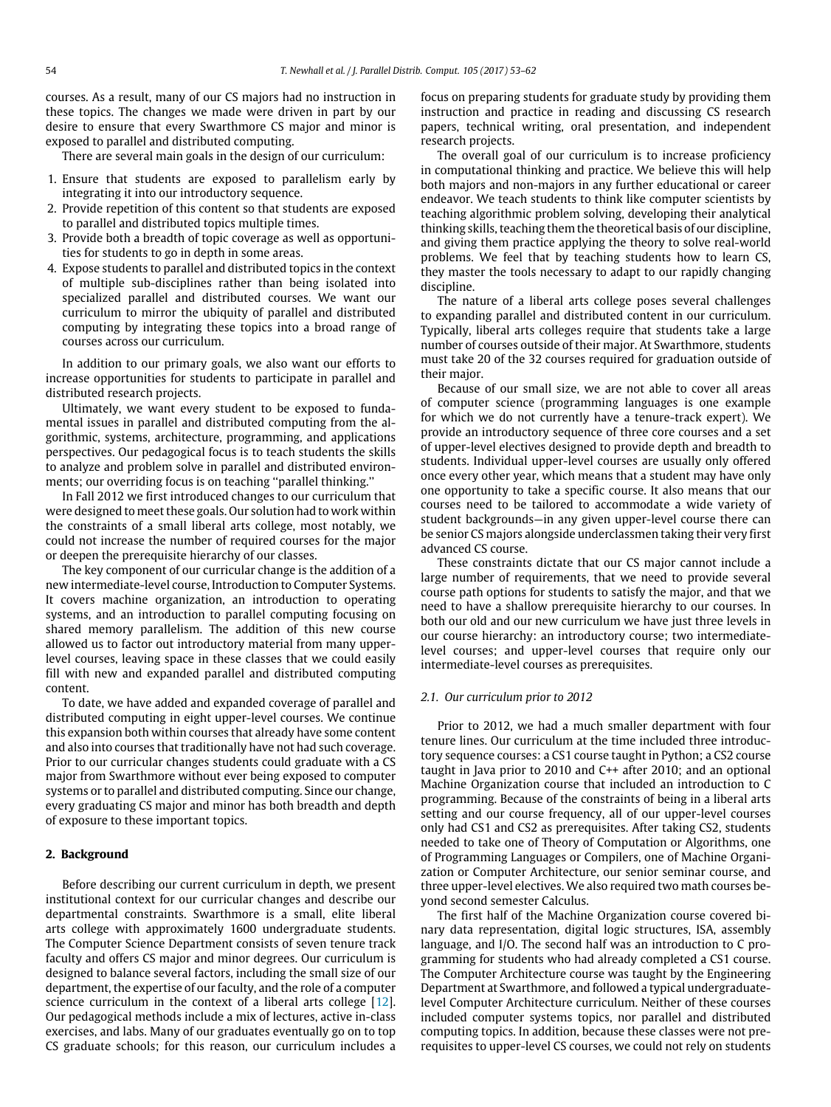courses. As a result, many of our CS majors had no instruction in these topics. The changes we made were driven in part by our desire to ensure that every Swarthmore CS major and minor is exposed to parallel and distributed computing.

There are several main goals in the design of our curriculum:

- 1. Ensure that students are exposed to parallelism early by integrating it into our introductory sequence.
- 2. Provide repetition of this content so that students are exposed to parallel and distributed topics multiple times.
- 3. Provide both a breadth of topic coverage as well as opportunities for students to go in depth in some areas.
- 4. Expose students to parallel and distributed topics in the context of multiple sub-disciplines rather than being isolated into specialized parallel and distributed courses. We want our curriculum to mirror the ubiquity of parallel and distributed computing by integrating these topics into a broad range of courses across our curriculum.

In addition to our primary goals, we also want our efforts to increase opportunities for students to participate in parallel and distributed research projects.

Ultimately, we want every student to be exposed to fundamental issues in parallel and distributed computing from the algorithmic, systems, architecture, programming, and applications perspectives. Our pedagogical focus is to teach students the skills to analyze and problem solve in parallel and distributed environments; our overriding focus is on teaching ''parallel thinking.''

In Fall 2012 we first introduced changes to our curriculum that were designed to meet these goals. Our solution had to work within the constraints of a small liberal arts college, most notably, we could not increase the number of required courses for the major or deepen the prerequisite hierarchy of our classes.

The key component of our curricular change is the addition of a new intermediate-level course, Introduction to Computer Systems. It covers machine organization, an introduction to operating systems, and an introduction to parallel computing focusing on shared memory parallelism. The addition of this new course allowed us to factor out introductory material from many upperlevel courses, leaving space in these classes that we could easily fill with new and expanded parallel and distributed computing content.

To date, we have added and expanded coverage of parallel and distributed computing in eight upper-level courses. We continue this expansion both within courses that already have some content and also into courses that traditionally have not had such coverage. Prior to our curricular changes students could graduate with a CS major from Swarthmore without ever being exposed to computer systems or to parallel and distributed computing. Since our change, every graduating CS major and minor has both breadth and depth of exposure to these important topics.

### **2. Background**

Before describing our current curriculum in depth, we present institutional context for our curricular changes and describe our departmental constraints. Swarthmore is a small, elite liberal arts college with approximately 1600 undergraduate students. The Computer Science Department consists of seven tenure track faculty and offers CS major and minor degrees. Our curriculum is designed to balance several factors, including the small size of our department, the expertise of our faculty, and the role of a computer science curriculum in the context of a liberal arts college [\[12\]](#page-8-1). Our pedagogical methods include a mix of lectures, active in-class exercises, and labs. Many of our graduates eventually go on to top CS graduate schools; for this reason, our curriculum includes a focus on preparing students for graduate study by providing them instruction and practice in reading and discussing CS research papers, technical writing, oral presentation, and independent research projects.

The overall goal of our curriculum is to increase proficiency in computational thinking and practice. We believe this will help both majors and non-majors in any further educational or career endeavor. We teach students to think like computer scientists by teaching algorithmic problem solving, developing their analytical thinking skills, teaching them the theoretical basis of our discipline, and giving them practice applying the theory to solve real-world problems. We feel that by teaching students how to learn CS, they master the tools necessary to adapt to our rapidly changing discipline.

The nature of a liberal arts college poses several challenges to expanding parallel and distributed content in our curriculum. Typically, liberal arts colleges require that students take a large number of courses outside of their major. At Swarthmore, students must take 20 of the 32 courses required for graduation outside of their major.

Because of our small size, we are not able to cover all areas of computer science (programming languages is one example for which we do not currently have a tenure-track expert). We provide an introductory sequence of three core courses and a set of upper-level electives designed to provide depth and breadth to students. Individual upper-level courses are usually only offered once every other year, which means that a student may have only one opportunity to take a specific course. It also means that our courses need to be tailored to accommodate a wide variety of student backgrounds—in any given upper-level course there can be senior CS majors alongside underclassmen taking their very first advanced CS course.

These constraints dictate that our CS major cannot include a large number of requirements, that we need to provide several course path options for students to satisfy the major, and that we need to have a shallow prerequisite hierarchy to our courses. In both our old and our new curriculum we have just three levels in our course hierarchy: an introductory course; two intermediatelevel courses; and upper-level courses that require only our intermediate-level courses as prerequisites.

#### *2.1. Our curriculum prior to 2012*

Prior to 2012, we had a much smaller department with four tenure lines. Our curriculum at the time included three introductory sequence courses: a CS1 course taught in Python; a CS2 course taught in Java prior to 2010 and C++ after 2010; and an optional Machine Organization course that included an introduction to C programming. Because of the constraints of being in a liberal arts setting and our course frequency, all of our upper-level courses only had CS1 and CS2 as prerequisites. After taking CS2, students needed to take one of Theory of Computation or Algorithms, one of Programming Languages or Compilers, one of Machine Organization or Computer Architecture, our senior seminar course, and three upper-level electives. We also required two math courses beyond second semester Calculus.

The first half of the Machine Organization course covered binary data representation, digital logic structures, ISA, assembly language, and I/O. The second half was an introduction to C programming for students who had already completed a CS1 course. The Computer Architecture course was taught by the Engineering Department at Swarthmore, and followed a typical undergraduatelevel Computer Architecture curriculum. Neither of these courses included computer systems topics, nor parallel and distributed computing topics. In addition, because these classes were not prerequisites to upper-level CS courses, we could not rely on students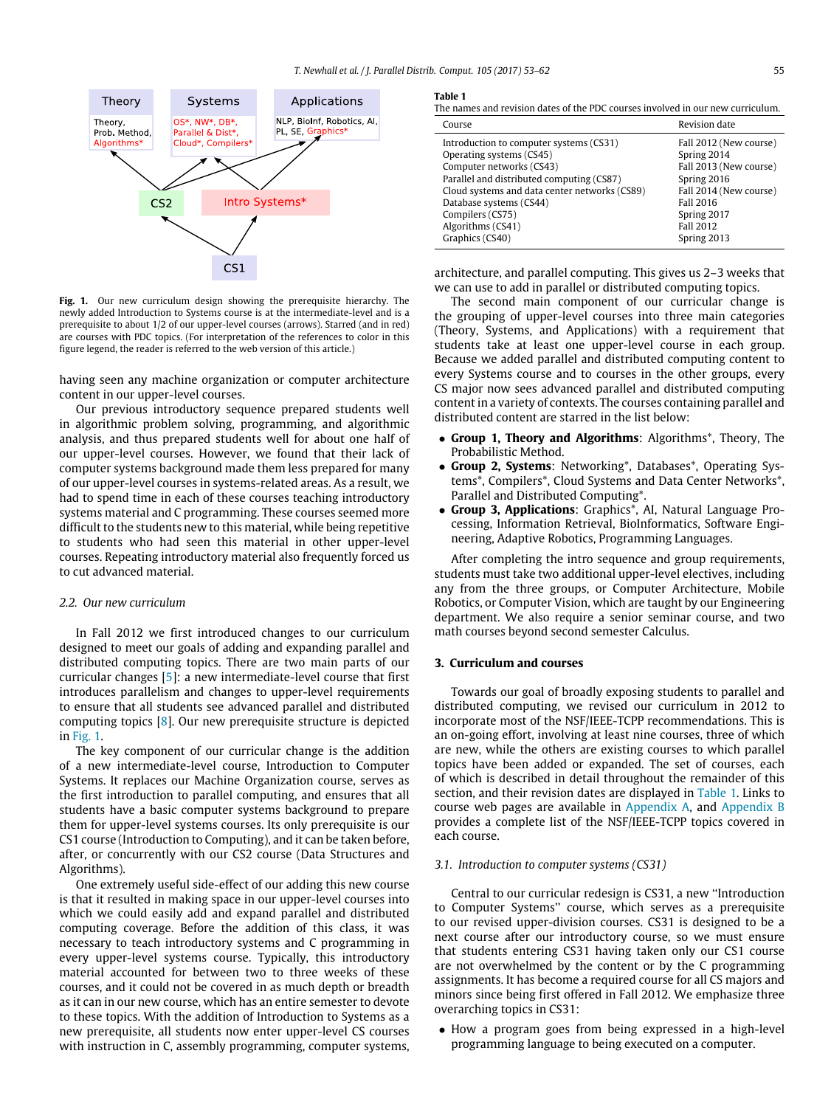<span id="page-2-0"></span>

**Fig. 1.** Our new curriculum design showing the prerequisite hierarchy. The newly added Introduction to Systems course is at the intermediate-level and is a prerequisite to about 1/2 of our upper-level courses (arrows). Starred (and in red) are courses with PDC topics. (For interpretation of the references to color in this figure legend, the reader is referred to the web version of this article.)

having seen any machine organization or computer architecture content in our upper-level courses.

Our previous introductory sequence prepared students well in algorithmic problem solving, programming, and algorithmic analysis, and thus prepared students well for about one half of our upper-level courses. However, we found that their lack of computer systems background made them less prepared for many of our upper-level courses in systems-related areas. As a result, we had to spend time in each of these courses teaching introductory systems material and C programming. These courses seemed more difficult to the students new to this material, while being repetitive to students who had seen this material in other upper-level courses. Repeating introductory material also frequently forced us to cut advanced material.

## *2.2. Our new curriculum*

In Fall 2012 we first introduced changes to our curriculum designed to meet our goals of adding and expanding parallel and distributed computing topics. There are two main parts of our curricular changes [\[5\]](#page-8-2): a new intermediate-level course that first introduces parallelism and changes to upper-level requirements to ensure that all students see advanced parallel and distributed computing topics [\[8\]](#page-8-3). Our new prerequisite structure is depicted in [Fig. 1.](#page-2-0)

The key component of our curricular change is the addition of a new intermediate-level course, Introduction to Computer Systems. It replaces our Machine Organization course, serves as the first introduction to parallel computing, and ensures that all students have a basic computer systems background to prepare them for upper-level systems courses. Its only prerequisite is our CS1 course (Introduction to Computing), and it can be taken before, after, or concurrently with our CS2 course (Data Structures and Algorithms).

One extremely useful side-effect of our adding this new course is that it resulted in making space in our upper-level courses into which we could easily add and expand parallel and distributed computing coverage. Before the addition of this class, it was necessary to teach introductory systems and C programming in every upper-level systems course. Typically, this introductory material accounted for between two to three weeks of these courses, and it could not be covered in as much depth or breadth as it can in our new course, which has an entire semester to devote to these topics. With the addition of Introduction to Systems as a new prerequisite, all students now enter upper-level CS courses with instruction in C, assembly programming, computer systems,

#### <span id="page-2-1"></span>**Table 1**

The names and revision dates of the PDC courses involved in our new curriculum.

| Course                                        | Revision date          |
|-----------------------------------------------|------------------------|
| Introduction to computer systems (CS31)       | Fall 2012 (New course) |
| Operating systems (CS45)                      | Spring 2014            |
| Computer networks (CS43)                      | Fall 2013 (New course) |
| Parallel and distributed computing (CS87)     | Spring 2016            |
| Cloud systems and data center networks (CS89) | Fall 2014 (New course) |
| Database systems (CS44)                       | Fall 2016              |
| Compilers (CS75)                              | Spring 2017            |
| Algorithms (CS41)                             | <b>Fall 2012</b>       |
| Graphics (CS40)                               | Spring 2013            |

architecture, and parallel computing. This gives us 2–3 weeks that we can use to add in parallel or distributed computing topics.

The second main component of our curricular change is the grouping of upper-level courses into three main categories (Theory, Systems, and Applications) with a requirement that students take at least one upper-level course in each group. Because we added parallel and distributed computing content to every Systems course and to courses in the other groups, every CS major now sees advanced parallel and distributed computing content in a variety of contexts. The courses containing parallel and distributed content are starred in the list below:

- **Group 1, Theory and Algorithms**: Algorithms\*, Theory, The Probabilistic Method.
- **Group 2, Systems**: Networking\*, Databases\*, Operating Systems\*, Compilers\*, Cloud Systems and Data Center Networks\*, Parallel and Distributed Computing\*.
- **Group 3, Applications**: Graphics\*, AI, Natural Language Processing, Information Retrieval, BioInformatics, Software Engineering, Adaptive Robotics, Programming Languages.

After completing the intro sequence and group requirements, students must take two additional upper-level electives, including any from the three groups, or Computer Architecture, Mobile Robotics, or Computer Vision, which are taught by our Engineering department. We also require a senior seminar course, and two math courses beyond second semester Calculus.

#### **3. Curriculum and courses**

Towards our goal of broadly exposing students to parallel and distributed computing, we revised our curriculum in 2012 to incorporate most of the NSF/IEEE-TCPP recommendations. This is an on-going effort, involving at least nine courses, three of which are new, while the others are existing courses to which parallel topics have been added or expanded. The set of courses, each of which is described in detail throughout the remainder of this section, and their revision dates are displayed in [Table 1.](#page-2-1) Links to course web pages are available in [Appendix A,](#page-7-0) and [Appendix B](#page-7-1) provides a complete list of the NSF/IEEE-TCPP topics covered in each course.

#### *3.1. Introduction to computer systems (CS31)*

Central to our curricular redesign is CS31, a new ''Introduction to Computer Systems'' course, which serves as a prerequisite to our revised upper-division courses. CS31 is designed to be a next course after our introductory course, so we must ensure that students entering CS31 having taken only our CS1 course are not overwhelmed by the content or by the C programming assignments. It has become a required course for all CS majors and minors since being first offered in Fall 2012. We emphasize three overarching topics in CS31:

• How a program goes from being expressed in a high-level programming language to being executed on a computer.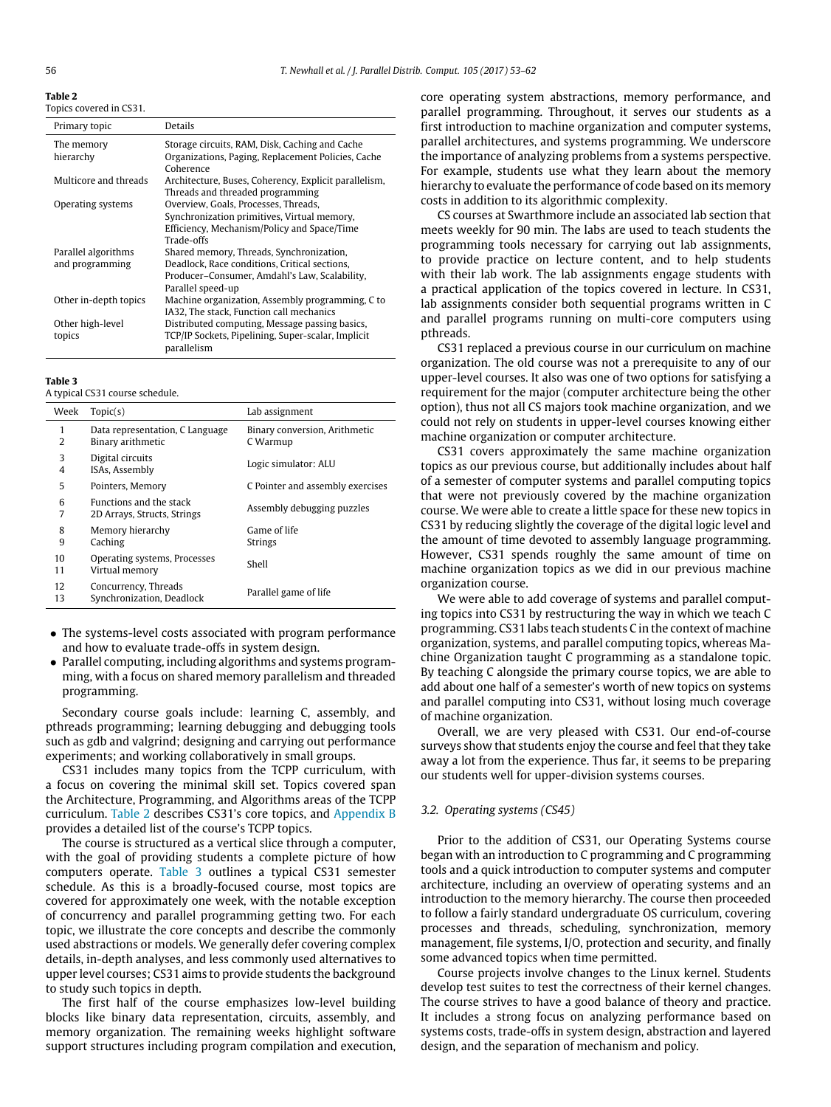<span id="page-3-0"></span>**Table 2**

| Topics covered in CS31. |  |  |
|-------------------------|--|--|
|                         |  |  |

| Primary topic                          | Details                                                                                                                                                         |
|----------------------------------------|-----------------------------------------------------------------------------------------------------------------------------------------------------------------|
| The memory<br>hierarchy                | Storage circuits, RAM, Disk, Caching and Cache<br>Organizations, Paging, Replacement Policies, Cache<br>Coherence                                               |
| Multicore and threads                  | Architecture, Buses, Coherency, Explicit parallelism,<br>Threads and threaded programming                                                                       |
| Operating systems                      | Overview, Goals, Processes, Threads,<br>Synchronization primitives, Virtual memory,<br>Efficiency, Mechanism/Policy and Space/Time<br>Trade-offs                |
| Parallel algorithms<br>and programming | Shared memory, Threads, Synchronization,<br>Deadlock, Race conditions, Critical sections,<br>Producer-Consumer, Amdahl's Law, Scalability,<br>Parallel speed-up |
| Other in-depth topics                  | Machine organization, Assembly programming, C to<br>IA32, The stack, Function call mechanics                                                                    |
| Other high-level<br>topics             | Distributed computing, Message passing basics,<br>TCP/IP Sockets, Pipelining, Super-scalar, Implicit<br>parallelism                                             |

#### <span id="page-3-1"></span>**Table 3**

A typical CS31 course schedule.

| Week                | Topic(s)                                                      | Lab assignment                            |
|---------------------|---------------------------------------------------------------|-------------------------------------------|
| 1<br>2              | Data representation, C Language<br>Binary arithmetic          | Binary conversion, Arithmetic<br>C Warmup |
| 3<br>$\overline{4}$ | Digital circuits<br>ISAs, Assembly                            | Logic simulator: ALU                      |
| 5                   | Pointers, Memory                                              | C Pointer and assembly exercises          |
| 6<br>7              | <b>Functions and the stack</b><br>2D Arrays, Structs, Strings | Assembly debugging puzzles                |
| 8<br>9              | Memory hierarchy<br>Caching                                   | Game of life<br><b>Strings</b>            |
| 10<br>11            | Operating systems, Processes<br>Virtual memory                | Shell                                     |
| 12<br>13            | Concurrency, Threads<br>Synchronization, Deadlock             | Parallel game of life                     |

- The systems-level costs associated with program performance and how to evaluate trade-offs in system design.
- Parallel computing, including algorithms and systems programming, with a focus on shared memory parallelism and threaded programming.

Secondary course goals include: learning C, assembly, and pthreads programming; learning debugging and debugging tools such as gdb and valgrind; designing and carrying out performance experiments; and working collaboratively in small groups.

CS31 includes many topics from the TCPP curriculum, with a focus on covering the minimal skill set. Topics covered span the Architecture, Programming, and Algorithms areas of the TCPP curriculum. [Table 2](#page-3-0) describes CS31's core topics, and [Appendix B](#page-7-1) provides a detailed list of the course's TCPP topics.

The course is structured as a vertical slice through a computer, with the goal of providing students a complete picture of how computers operate. [Table 3](#page-3-1) outlines a typical CS31 semester schedule. As this is a broadly-focused course, most topics are covered for approximately one week, with the notable exception of concurrency and parallel programming getting two. For each topic, we illustrate the core concepts and describe the commonly used abstractions or models. We generally defer covering complex details, in-depth analyses, and less commonly used alternatives to upper level courses; CS31 aims to provide students the background to study such topics in depth.

The first half of the course emphasizes low-level building blocks like binary data representation, circuits, assembly, and memory organization. The remaining weeks highlight software support structures including program compilation and execution, core operating system abstractions, memory performance, and parallel programming. Throughout, it serves our students as a first introduction to machine organization and computer systems, parallel architectures, and systems programming. We underscore the importance of analyzing problems from a systems perspective. For example, students use what they learn about the memory hierarchy to evaluate the performance of code based on its memory costs in addition to its algorithmic complexity.

CS courses at Swarthmore include an associated lab section that meets weekly for 90 min. The labs are used to teach students the programming tools necessary for carrying out lab assignments, to provide practice on lecture content, and to help students with their lab work. The lab assignments engage students with a practical application of the topics covered in lecture. In CS31, lab assignments consider both sequential programs written in C and parallel programs running on multi-core computers using pthreads.

CS31 replaced a previous course in our curriculum on machine organization. The old course was not a prerequisite to any of our upper-level courses. It also was one of two options for satisfying a requirement for the major (computer architecture being the other option), thus not all CS majors took machine organization, and we could not rely on students in upper-level courses knowing either machine organization or computer architecture.

CS31 covers approximately the same machine organization topics as our previous course, but additionally includes about half of a semester of computer systems and parallel computing topics that were not previously covered by the machine organization course. We were able to create a little space for these new topics in CS31 by reducing slightly the coverage of the digital logic level and the amount of time devoted to assembly language programming. However, CS31 spends roughly the same amount of time on machine organization topics as we did in our previous machine organization course.

We were able to add coverage of systems and parallel computing topics into CS31 by restructuring the way in which we teach C programming. CS31 labs teach students C in the context of machine organization, systems, and parallel computing topics, whereas Machine Organization taught C programming as a standalone topic. By teaching C alongside the primary course topics, we are able to add about one half of a semester's worth of new topics on systems and parallel computing into CS31, without losing much coverage of machine organization.

Overall, we are very pleased with CS31. Our end-of-course surveys show that students enjoy the course and feel that they take away a lot from the experience. Thus far, it seems to be preparing our students well for upper-division systems courses.

#### *3.2. Operating systems (CS45)*

Prior to the addition of CS31, our Operating Systems course began with an introduction to C programming and C programming tools and a quick introduction to computer systems and computer architecture, including an overview of operating systems and an introduction to the memory hierarchy. The course then proceeded to follow a fairly standard undergraduate OS curriculum, covering processes and threads, scheduling, synchronization, memory management, file systems, I/O, protection and security, and finally some advanced topics when time permitted.

Course projects involve changes to the Linux kernel. Students develop test suites to test the correctness of their kernel changes. The course strives to have a good balance of theory and practice. It includes a strong focus on analyzing performance based on systems costs, trade-offs in system design, abstraction and layered design, and the separation of mechanism and policy.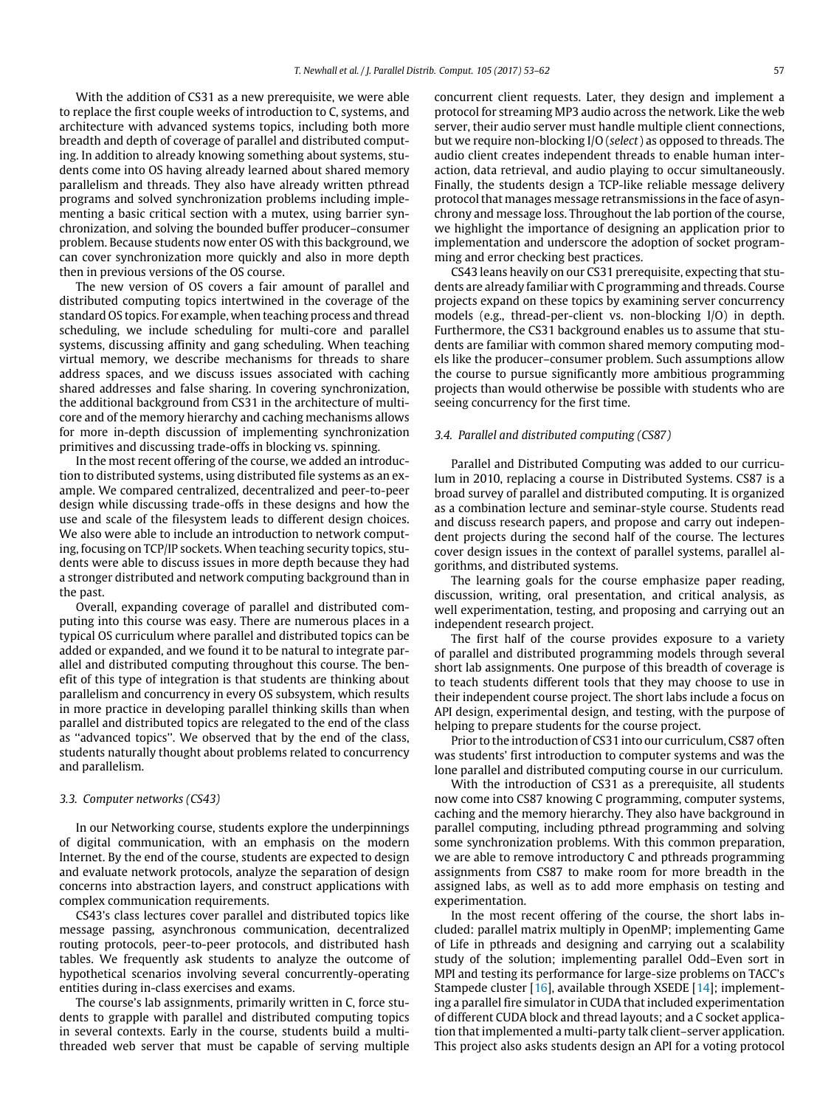With the addition of CS31 as a new prerequisite, we were able to replace the first couple weeks of introduction to C, systems, and architecture with advanced systems topics, including both more breadth and depth of coverage of parallel and distributed computing. In addition to already knowing something about systems, students come into OS having already learned about shared memory parallelism and threads. They also have already written pthread programs and solved synchronization problems including implementing a basic critical section with a mutex, using barrier synchronization, and solving the bounded buffer producer–consumer problem. Because students now enter OS with this background, we can cover synchronization more quickly and also in more depth then in previous versions of the OS course.

The new version of OS covers a fair amount of parallel and distributed computing topics intertwined in the coverage of the standard OS topics. For example, when teaching process and thread scheduling, we include scheduling for multi-core and parallel systems, discussing affinity and gang scheduling. When teaching virtual memory, we describe mechanisms for threads to share address spaces, and we discuss issues associated with caching shared addresses and false sharing. In covering synchronization, the additional background from CS31 in the architecture of multicore and of the memory hierarchy and caching mechanisms allows for more in-depth discussion of implementing synchronization primitives and discussing trade-offs in blocking vs. spinning.

In the most recent offering of the course, we added an introduction to distributed systems, using distributed file systems as an example. We compared centralized, decentralized and peer-to-peer design while discussing trade-offs in these designs and how the use and scale of the filesystem leads to different design choices. We also were able to include an introduction to network computing, focusing on TCP/IP sockets. When teaching security topics, students were able to discuss issues in more depth because they had a stronger distributed and network computing background than in the past.

Overall, expanding coverage of parallel and distributed computing into this course was easy. There are numerous places in a typical OS curriculum where parallel and distributed topics can be added or expanded, and we found it to be natural to integrate parallel and distributed computing throughout this course. The benefit of this type of integration is that students are thinking about parallelism and concurrency in every OS subsystem, which results in more practice in developing parallel thinking skills than when parallel and distributed topics are relegated to the end of the class as ''advanced topics''. We observed that by the end of the class, students naturally thought about problems related to concurrency and parallelism.

#### *3.3. Computer networks (CS43)*

In our Networking course, students explore the underpinnings of digital communication, with an emphasis on the modern Internet. By the end of the course, students are expected to design and evaluate network protocols, analyze the separation of design concerns into abstraction layers, and construct applications with complex communication requirements.

CS43's class lectures cover parallel and distributed topics like message passing, asynchronous communication, decentralized routing protocols, peer-to-peer protocols, and distributed hash tables. We frequently ask students to analyze the outcome of hypothetical scenarios involving several concurrently-operating entities during in-class exercises and exams.

The course's lab assignments, primarily written in C, force students to grapple with parallel and distributed computing topics in several contexts. Early in the course, students build a multithreaded web server that must be capable of serving multiple concurrent client requests. Later, they design and implement a protocol for streaming MP3 audio across the network. Like the web server, their audio server must handle multiple client connections, but we require non-blocking I/O (*select*) as opposed to threads. The audio client creates independent threads to enable human interaction, data retrieval, and audio playing to occur simultaneously. Finally, the students design a TCP-like reliable message delivery protocol that manages message retransmissions in the face of asynchrony and message loss. Throughout the lab portion of the course, we highlight the importance of designing an application prior to implementation and underscore the adoption of socket programming and error checking best practices.

CS43 leans heavily on our CS31 prerequisite, expecting that students are already familiar with C programming and threads. Course projects expand on these topics by examining server concurrency models (e.g., thread-per-client vs. non-blocking I/O) in depth. Furthermore, the CS31 background enables us to assume that students are familiar with common shared memory computing models like the producer–consumer problem. Such assumptions allow the course to pursue significantly more ambitious programming projects than would otherwise be possible with students who are seeing concurrency for the first time.

### *3.4. Parallel and distributed computing (CS87)*

Parallel and Distributed Computing was added to our curriculum in 2010, replacing a course in Distributed Systems. CS87 is a broad survey of parallel and distributed computing. It is organized as a combination lecture and seminar-style course. Students read and discuss research papers, and propose and carry out independent projects during the second half of the course. The lectures cover design issues in the context of parallel systems, parallel algorithms, and distributed systems.

The learning goals for the course emphasize paper reading, discussion, writing, oral presentation, and critical analysis, as well experimentation, testing, and proposing and carrying out an independent research project.

The first half of the course provides exposure to a variety of parallel and distributed programming models through several short lab assignments. One purpose of this breadth of coverage is to teach students different tools that they may choose to use in their independent course project. The short labs include a focus on API design, experimental design, and testing, with the purpose of helping to prepare students for the course project.

Prior to the introduction of CS31 into our curriculum, CS87 often was students' first introduction to computer systems and was the lone parallel and distributed computing course in our curriculum.

With the introduction of CS31 as a prerequisite, all students now come into CS87 knowing C programming, computer systems, caching and the memory hierarchy. They also have background in parallel computing, including pthread programming and solving some synchronization problems. With this common preparation, we are able to remove introductory C and pthreads programming assignments from CS87 to make room for more breadth in the assigned labs, as well as to add more emphasis on testing and experimentation.

In the most recent offering of the course, the short labs included: parallel matrix multiply in OpenMP; implementing Game of Life in pthreads and designing and carrying out a scalability study of the solution; implementing parallel Odd–Even sort in MPI and testing its performance for large-size problems on TACC's Stampede cluster [\[16\]](#page-9-4), available through XSEDE [\[14\]](#page-9-5); implementing a parallel fire simulator in CUDA that included experimentation of different CUDA block and thread layouts; and a C socket application that implemented a multi-party talk client–server application. This project also asks students design an API for a voting protocol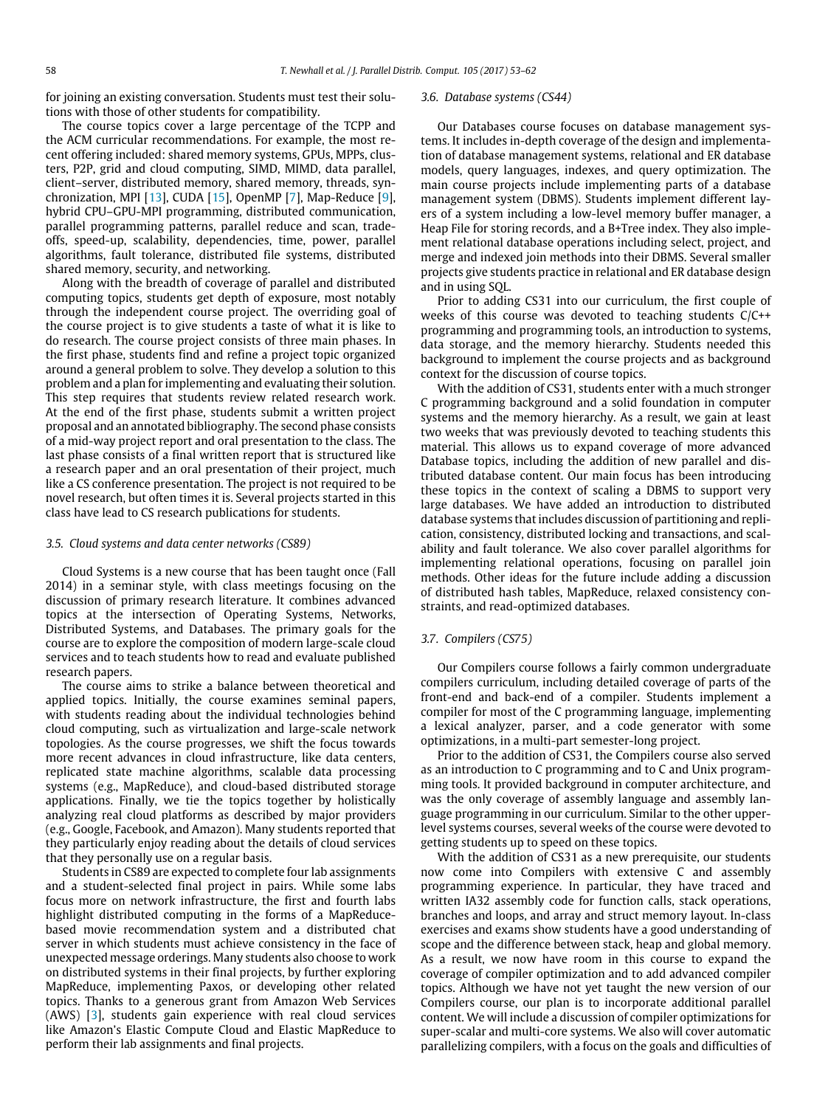for joining an existing conversation. Students must test their solutions with those of other students for compatibility.

The course topics cover a large percentage of the TCPP and the ACM curricular recommendations. For example, the most recent offering included: shared memory systems, GPUs, MPPs, clusters, P2P, grid and cloud computing, SIMD, MIMD, data parallel, client–server, distributed memory, shared memory, threads, synchronization, MPI [\[13\]](#page-9-6), CUDA [\[15\]](#page-9-7), OpenMP [\[7\]](#page-8-4), Map-Reduce [\[9\]](#page-8-5), hybrid CPU–GPU-MPI programming, distributed communication, parallel programming patterns, parallel reduce and scan, tradeoffs, speed-up, scalability, dependencies, time, power, parallel algorithms, fault tolerance, distributed file systems, distributed shared memory, security, and networking.

Along with the breadth of coverage of parallel and distributed computing topics, students get depth of exposure, most notably through the independent course project. The overriding goal of the course project is to give students a taste of what it is like to do research. The course project consists of three main phases. In the first phase, students find and refine a project topic organized around a general problem to solve. They develop a solution to this problem and a plan for implementing and evaluating their solution. This step requires that students review related research work. At the end of the first phase, students submit a written project proposal and an annotated bibliography. The second phase consists of a mid-way project report and oral presentation to the class. The last phase consists of a final written report that is structured like a research paper and an oral presentation of their project, much like a CS conference presentation. The project is not required to be novel research, but often times it is. Several projects started in this class have lead to CS research publications for students.

#### *3.5. Cloud systems and data center networks (CS89)*

Cloud Systems is a new course that has been taught once (Fall 2014) in a seminar style, with class meetings focusing on the discussion of primary research literature. It combines advanced topics at the intersection of Operating Systems, Networks, Distributed Systems, and Databases. The primary goals for the course are to explore the composition of modern large-scale cloud services and to teach students how to read and evaluate published research papers.

The course aims to strike a balance between theoretical and applied topics. Initially, the course examines seminal papers, with students reading about the individual technologies behind cloud computing, such as virtualization and large-scale network topologies. As the course progresses, we shift the focus towards more recent advances in cloud infrastructure, like data centers, replicated state machine algorithms, scalable data processing systems (e.g., MapReduce), and cloud-based distributed storage applications. Finally, we tie the topics together by holistically analyzing real cloud platforms as described by major providers (e.g., Google, Facebook, and Amazon). Many students reported that they particularly enjoy reading about the details of cloud services that they personally use on a regular basis.

Students in CS89 are expected to complete four lab assignments and a student-selected final project in pairs. While some labs focus more on network infrastructure, the first and fourth labs highlight distributed computing in the forms of a MapReducebased movie recommendation system and a distributed chat server in which students must achieve consistency in the face of unexpected message orderings. Many students also choose to work on distributed systems in their final projects, by further exploring MapReduce, implementing Paxos, or developing other related topics. Thanks to a generous grant from Amazon Web Services (AWS) [\[3\]](#page-8-6), students gain experience with real cloud services like Amazon's Elastic Compute Cloud and Elastic MapReduce to perform their lab assignments and final projects.

#### *3.6. Database systems (CS44)*

Our Databases course focuses on database management systems. It includes in-depth coverage of the design and implementation of database management systems, relational and ER database models, query languages, indexes, and query optimization. The main course projects include implementing parts of a database management system (DBMS). Students implement different layers of a system including a low-level memory buffer manager, a Heap File for storing records, and a B+Tree index. They also implement relational database operations including select, project, and merge and indexed join methods into their DBMS. Several smaller projects give students practice in relational and ER database design and in using SQL.

Prior to adding CS31 into our curriculum, the first couple of weeks of this course was devoted to teaching students C/C++ programming and programming tools, an introduction to systems, data storage, and the memory hierarchy. Students needed this background to implement the course projects and as background context for the discussion of course topics.

With the addition of CS31, students enter with a much stronger C programming background and a solid foundation in computer systems and the memory hierarchy. As a result, we gain at least two weeks that was previously devoted to teaching students this material. This allows us to expand coverage of more advanced Database topics, including the addition of new parallel and distributed database content. Our main focus has been introducing these topics in the context of scaling a DBMS to support very large databases. We have added an introduction to distributed database systems that includes discussion of partitioning and replication, consistency, distributed locking and transactions, and scalability and fault tolerance. We also cover parallel algorithms for implementing relational operations, focusing on parallel join methods. Other ideas for the future include adding a discussion of distributed hash tables, MapReduce, relaxed consistency constraints, and read-optimized databases.

#### *3.7. Compilers (CS75)*

Our Compilers course follows a fairly common undergraduate compilers curriculum, including detailed coverage of parts of the front-end and back-end of a compiler. Students implement a compiler for most of the C programming language, implementing a lexical analyzer, parser, and a code generator with some optimizations, in a multi-part semester-long project.

Prior to the addition of CS31, the Compilers course also served as an introduction to C programming and to C and Unix programming tools. It provided background in computer architecture, and was the only coverage of assembly language and assembly language programming in our curriculum. Similar to the other upperlevel systems courses, several weeks of the course were devoted to getting students up to speed on these topics.

With the addition of CS31 as a new prerequisite, our students now come into Compilers with extensive C and assembly programming experience. In particular, they have traced and written IA32 assembly code for function calls, stack operations, branches and loops, and array and struct memory layout. In-class exercises and exams show students have a good understanding of scope and the difference between stack, heap and global memory. As a result, we now have room in this course to expand the coverage of compiler optimization and to add advanced compiler topics. Although we have not yet taught the new version of our Compilers course, our plan is to incorporate additional parallel content. We will include a discussion of compiler optimizations for super-scalar and multi-core systems. We also will cover automatic parallelizing compilers, with a focus on the goals and difficulties of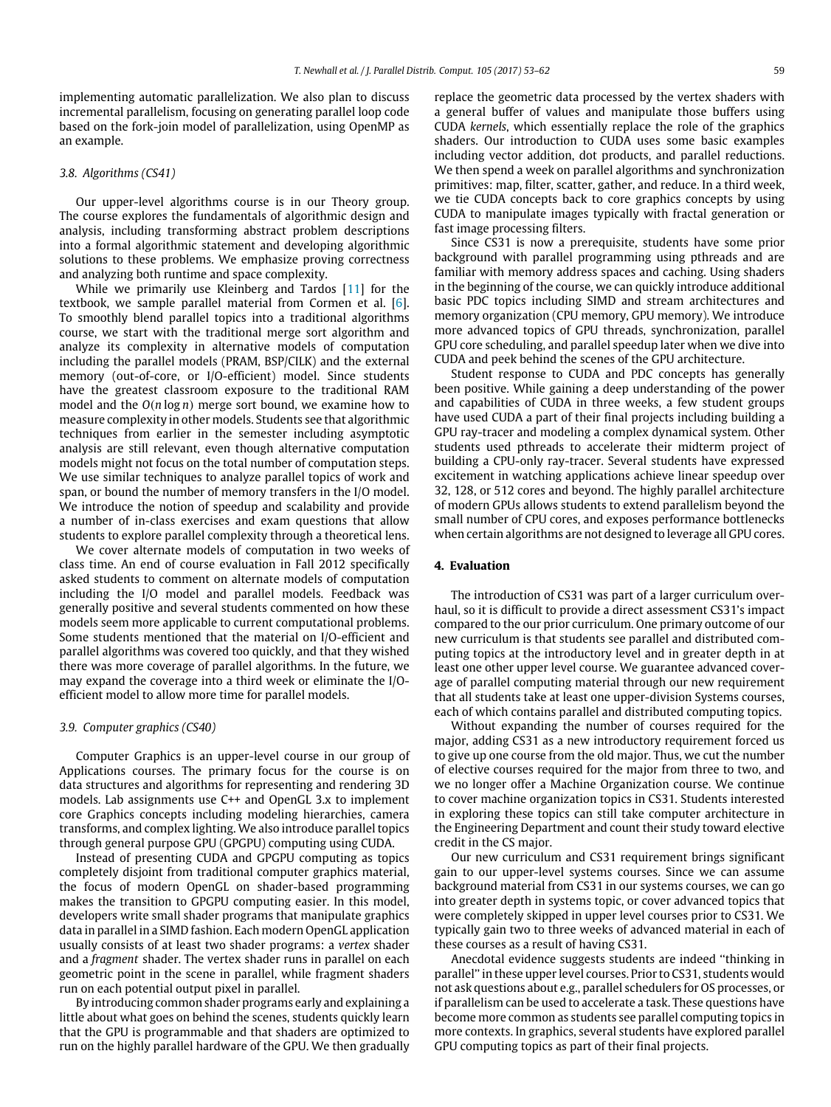implementing automatic parallelization. We also plan to discuss incremental parallelism, focusing on generating parallel loop code based on the fork-join model of parallelization, using OpenMP as an example.

#### *3.8. Algorithms (CS41)*

Our upper-level algorithms course is in our Theory group. The course explores the fundamentals of algorithmic design and analysis, including transforming abstract problem descriptions into a formal algorithmic statement and developing algorithmic solutions to these problems. We emphasize proving correctness and analyzing both runtime and space complexity.

While we primarily use Kleinberg and Tardos [\[11\]](#page-8-7) for the textbook, we sample parallel material from Cormen et al. [\[6\]](#page-8-8). To smoothly blend parallel topics into a traditional algorithms course, we start with the traditional merge sort algorithm and analyze its complexity in alternative models of computation including the parallel models (PRAM, BSP/CILK) and the external memory (out-of-core, or I/O-efficient) model. Since students have the greatest classroom exposure to the traditional RAM model and the *O*(*n* log *n*) merge sort bound, we examine how to measure complexity in other models. Students see that algorithmic techniques from earlier in the semester including asymptotic analysis are still relevant, even though alternative computation models might not focus on the total number of computation steps. We use similar techniques to analyze parallel topics of work and span, or bound the number of memory transfers in the I/O model. We introduce the notion of speedup and scalability and provide a number of in-class exercises and exam questions that allow students to explore parallel complexity through a theoretical lens.

We cover alternate models of computation in two weeks of class time. An end of course evaluation in Fall 2012 specifically asked students to comment on alternate models of computation including the I/O model and parallel models. Feedback was generally positive and several students commented on how these models seem more applicable to current computational problems. Some students mentioned that the material on I/O-efficient and parallel algorithms was covered too quickly, and that they wished there was more coverage of parallel algorithms. In the future, we may expand the coverage into a third week or eliminate the I/Oefficient model to allow more time for parallel models.

## *3.9. Computer graphics (CS40)*

Computer Graphics is an upper-level course in our group of Applications courses. The primary focus for the course is on data structures and algorithms for representing and rendering 3D models. Lab assignments use C++ and OpenGL 3.x to implement core Graphics concepts including modeling hierarchies, camera transforms, and complex lighting. We also introduce parallel topics through general purpose GPU (GPGPU) computing using CUDA.

Instead of presenting CUDA and GPGPU computing as topics completely disjoint from traditional computer graphics material, the focus of modern OpenGL on shader-based programming makes the transition to GPGPU computing easier. In this model, developers write small shader programs that manipulate graphics data in parallel in a SIMD fashion. Each modern OpenGL application usually consists of at least two shader programs: a *vertex* shader and a *fragment* shader. The vertex shader runs in parallel on each geometric point in the scene in parallel, while fragment shaders run on each potential output pixel in parallel.

By introducing common shader programs early and explaining a little about what goes on behind the scenes, students quickly learn that the GPU is programmable and that shaders are optimized to run on the highly parallel hardware of the GPU. We then gradually replace the geometric data processed by the vertex shaders with a general buffer of values and manipulate those buffers using CUDA *kernels*, which essentially replace the role of the graphics shaders. Our introduction to CUDA uses some basic examples including vector addition, dot products, and parallel reductions. We then spend a week on parallel algorithms and synchronization primitives: map, filter, scatter, gather, and reduce. In a third week, we tie CUDA concepts back to core graphics concepts by using CUDA to manipulate images typically with fractal generation or fast image processing filters.

Since CS31 is now a prerequisite, students have some prior background with parallel programming using pthreads and are familiar with memory address spaces and caching. Using shaders in the beginning of the course, we can quickly introduce additional basic PDC topics including SIMD and stream architectures and memory organization (CPU memory, GPU memory). We introduce more advanced topics of GPU threads, synchronization, parallel GPU core scheduling, and parallel speedup later when we dive into CUDA and peek behind the scenes of the GPU architecture.

Student response to CUDA and PDC concepts has generally been positive. While gaining a deep understanding of the power and capabilities of CUDA in three weeks, a few student groups have used CUDA a part of their final projects including building a GPU ray-tracer and modeling a complex dynamical system. Other students used pthreads to accelerate their midterm project of building a CPU-only ray-tracer. Several students have expressed excitement in watching applications achieve linear speedup over 32, 128, or 512 cores and beyond. The highly parallel architecture of modern GPUs allows students to extend parallelism beyond the small number of CPU cores, and exposes performance bottlenecks when certain algorithms are not designed to leverage all GPU cores.

### **4. Evaluation**

The introduction of CS31 was part of a larger curriculum overhaul, so it is difficult to provide a direct assessment CS31's impact compared to the our prior curriculum. One primary outcome of our new curriculum is that students see parallel and distributed computing topics at the introductory level and in greater depth in at least one other upper level course. We guarantee advanced coverage of parallel computing material through our new requirement that all students take at least one upper-division Systems courses, each of which contains parallel and distributed computing topics.

Without expanding the number of courses required for the major, adding CS31 as a new introductory requirement forced us to give up one course from the old major. Thus, we cut the number of elective courses required for the major from three to two, and we no longer offer a Machine Organization course. We continue to cover machine organization topics in CS31. Students interested in exploring these topics can still take computer architecture in the Engineering Department and count their study toward elective credit in the CS major.

Our new curriculum and CS31 requirement brings significant gain to our upper-level systems courses. Since we can assume background material from CS31 in our systems courses, we can go into greater depth in systems topic, or cover advanced topics that were completely skipped in upper level courses prior to CS31. We typically gain two to three weeks of advanced material in each of these courses as a result of having CS31.

Anecdotal evidence suggests students are indeed ''thinking in parallel'' in these upper level courses. Prior to CS31, students would not ask questions about e.g., parallel schedulers for OS processes, or if parallelism can be used to accelerate a task. These questions have become more common as students see parallel computing topics in more contexts. In graphics, several students have explored parallel GPU computing topics as part of their final projects.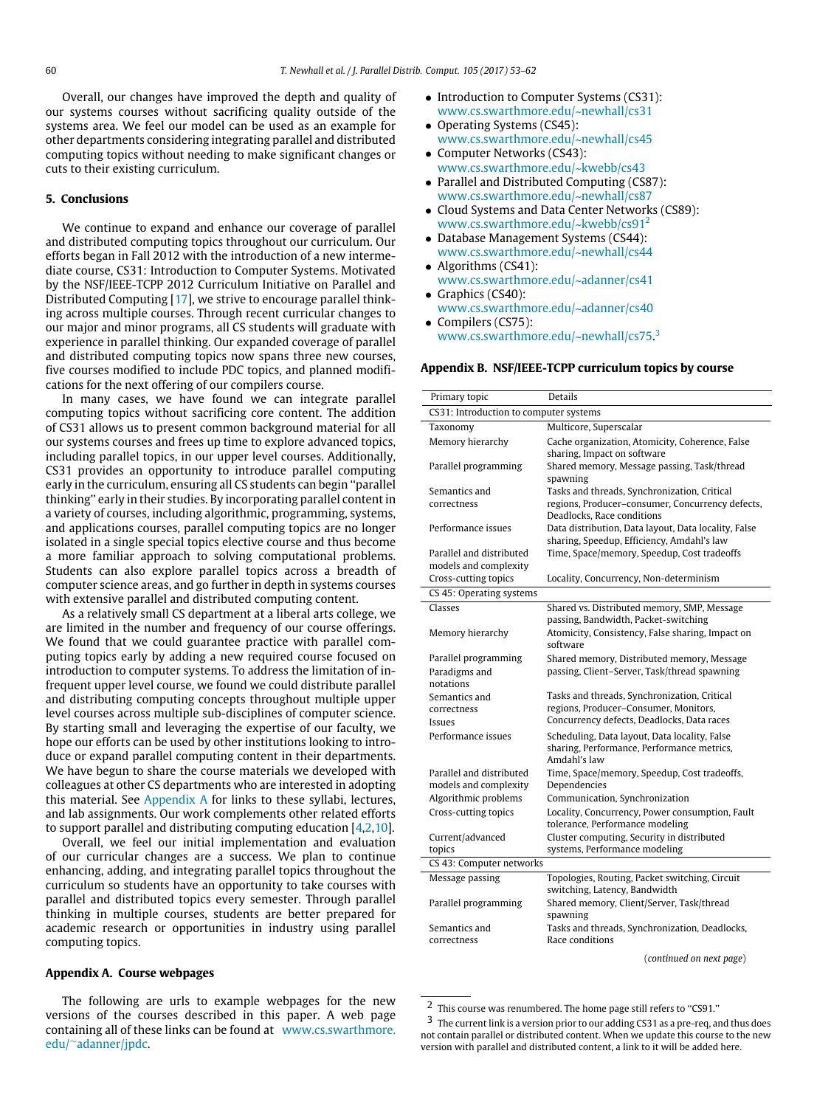Overall, our changes have improved the depth and quality of our systems courses without sacrificing quality outside of the systems area. We feel our model can be used as an example for other departments considering integrating parallel and distributed computing topics without needing to make significant changes or cuts to their existing curriculum.

#### **5. Conclusions**

We continue to expand and enhance our coverage of parallel and distributed computing topics throughout our curriculum. Our efforts began in Fall 2012 with the introduction of a new intermediate course, CS31: Introduction to Computer Systems. Motivated by the NSF/IEEE-TCPP 2012 Curriculum Initiative on Parallel and Distributed Computing [\[17\]](#page-9-3), we strive to encourage parallel thinking across multiple courses. Through recent curricular changes to our major and minor programs, all CS students will graduate with experience in parallel thinking. Our expanded coverage of parallel and distributed computing topics now spans three new courses, five courses modified to include PDC topics, and planned modifications for the next offering of our compilers course.

In many cases, we have found we can integrate parallel computing topics without sacrificing core content. The addition of CS31 allows us to present common background material for all our systems courses and frees up time to explore advanced topics, including parallel topics, in our upper level courses. Additionally, CS31 provides an opportunity to introduce parallel computing early in the curriculum, ensuring all CS students can begin ''parallel thinking'' early in their studies. By incorporating parallel content in a variety of courses, including algorithmic, programming, systems, and applications courses, parallel computing topics are no longer isolated in a single special topics elective course and thus become a more familiar approach to solving computational problems. Students can also explore parallel topics across a breadth of computer science areas, and go further in depth in systems courses with extensive parallel and distributed computing content.

As a relatively small CS department at a liberal arts college, we are limited in the number and frequency of our course offerings. We found that we could guarantee practice with parallel computing topics early by adding a new required course focused on introduction to computer systems. To address the limitation of infrequent upper level course, we found we could distribute parallel and distributing computing concepts throughout multiple upper level courses across multiple sub-disciplines of computer science. By starting small and leveraging the expertise of our faculty, we hope our efforts can be used by other institutions looking to introduce or expand parallel computing content in their departments. We have begun to share the course materials we developed with colleagues at other CS departments who are interested in adopting this material. See [Appendix A](#page-7-0) for links to these syllabi, lectures, and lab assignments. Our work complements other related efforts to support parallel and distributing computing education [\[4,](#page-8-9)[2](#page-8-10)[,10\]](#page-8-11).

Overall, we feel our initial implementation and evaluation of our curricular changes are a success. We plan to continue enhancing, adding, and integrating parallel topics throughout the curriculum so students have an opportunity to take courses with parallel and distributed topics every semester. Through parallel thinking in multiple courses, students are better prepared for academic research or opportunities in industry using parallel computing topics.

#### <span id="page-7-0"></span>**Appendix A. Course webpages**

The following are urls to example webpages for the new versions of the courses described in this paper. A web page containing all of these links can be found at [www.cs.swarthmore.](www.cs.swarthmore.edu/~adanner/jpdc) [edu/](www.cs.swarthmore.edu/~adanner/jpdc)∼[adanner/jpdc.](www.cs.swarthmore.edu/~adanner/jpdc)

- Introduction to Computer Systems (CS31): [www.cs.swarthmore.edu/~newhall/cs31](http://www.cs.swarthmore.edu/%7Enewhall/cs31)
- Operating Systems (CS45): [www.cs.swarthmore.edu/~newhall/cs45](http://www.cs.swarthmore.edu/%7Enewhall/cs45)
- Computer Networks (CS43): [www.cs.swarthmore.edu/~kwebb/cs43](http://www.cs.swarthmore.edu/%7Ekwebb/cs43)
- Parallel and Distributed Computing (CS87): [www.cs.swarthmore.edu/~newhall/cs87](http://www.cs.swarthmore.edu/%7Enewhall/cs87)
- Cloud Systems and Data Center Networks (CS89): [www.cs.swarthmore.edu/~kwebb/cs91](http://www.cs.swarthmore.edu/%7Ekwebb/cs91)[2](#page-7-2)
- Database Management Systems (CS44): [www.cs.swarthmore.edu/~newhall/cs44](http://www.cs.swarthmore.edu/%7Enewhall/cs44)
- Algorithms (CS41): [www.cs.swarthmore.edu/~adanner/cs41](http://www.cs.swarthmore.edu/%7Eadanner/cs41)
- Graphics (CS40): [www.cs.swarthmore.edu/~adanner/cs40](http://www.cs.swarthmore.edu/%7Eadanner/cs40) • Compilers (CS75):
- <span id="page-7-1"></span>[www.cs.swarthmore.edu/~newhall/cs75.](http://www.cs.swarthmore.edu/%7Enewhall/cs75)<sup>[3](#page-7-3)</sup>

## **Appendix B. NSF/IEEE-TCPP curriculum topics by course**

| Primary topic                          | <b>Details</b>                                                                      |
|----------------------------------------|-------------------------------------------------------------------------------------|
| CS31: Introduction to computer systems |                                                                                     |
| Taxonomy                               | Multicore, Superscalar                                                              |
| Memory hierarchy                       | Cache organization, Atomicity, Coherence, False                                     |
|                                        | sharing, Impact on software                                                         |
| Parallel programming                   | Shared memory, Message passing, Task/thread                                         |
|                                        | spawning                                                                            |
| Semantics and                          | Tasks and threads, Synchronization, Critical                                        |
| correctness                            | regions, Producer-consumer, Concurrency defects,<br>Deadlocks, Race conditions      |
| Performance issues                     | Data distribution, Data layout, Data locality, False                                |
|                                        | sharing, Speedup, Efficiency, Amdahl's law                                          |
| Parallel and distributed               | Time, Space/memory, Speedup, Cost tradeoffs                                         |
| models and complexity                  |                                                                                     |
| Cross-cutting topics                   | Locality, Concurrency, Non-determinism                                              |
| CS 45: Operating systems               |                                                                                     |
| Classes                                | Shared vs. Distributed memory, SMP, Message                                         |
|                                        | passing, Bandwidth, Packet-switching                                                |
| Memory hierarchy                       | Atomicity, Consistency, False sharing, Impact on                                    |
|                                        | software                                                                            |
| Parallel programming                   | Shared memory, Distributed memory, Message                                          |
| Paradigms and                          | passing, Client-Server, Task/thread spawning                                        |
| notations                              |                                                                                     |
| Semantics and                          | Tasks and threads, Synchronization, Critical                                        |
| correctness                            | regions, Producer-Consumer, Monitors,<br>Concurrency defects, Deadlocks, Data races |
| Issues                                 |                                                                                     |
| Performance issues                     | Scheduling, Data layout, Data locality, False                                       |
|                                        | sharing, Performance, Performance metrics,<br>Amdahl's law                          |
| Parallel and distributed               | Time, Space/memory, Speedup, Cost tradeoffs,                                        |
| models and complexity                  | Dependencies                                                                        |
| Algorithmic problems                   | Communication, Synchronization                                                      |
| Cross-cutting topics                   | Locality, Concurrency, Power consumption, Fault                                     |
|                                        | tolerance, Performance modeling                                                     |
| Current/advanced                       | Cluster computing, Security in distributed                                          |
| topics                                 | systems, Performance modeling                                                       |
| CS 43: Computer networks               |                                                                                     |
| Message passing                        | Topologies, Routing, Packet switching, Circuit<br>switching, Latency, Bandwidth     |
| Parallel programming                   | Shared memory, Client/Server, Task/thread<br>spawning                               |
| Semantics and                          | Tasks and threads, Synchronization, Deadlocks,                                      |
| correctness                            | Race conditions                                                                     |
|                                        | (continued on next page)                                                            |

<span id="page-7-2"></span><sup>&</sup>lt;sup>2</sup> This course was renumbered. The home page still refers to "CS91."

<span id="page-7-3"></span><sup>3</sup> The current link is a version prior to our adding CS31 as a pre-req, and thus does not contain parallel or distributed content. When we update this course to the new version with parallel and distributed content, a link to it will be added here.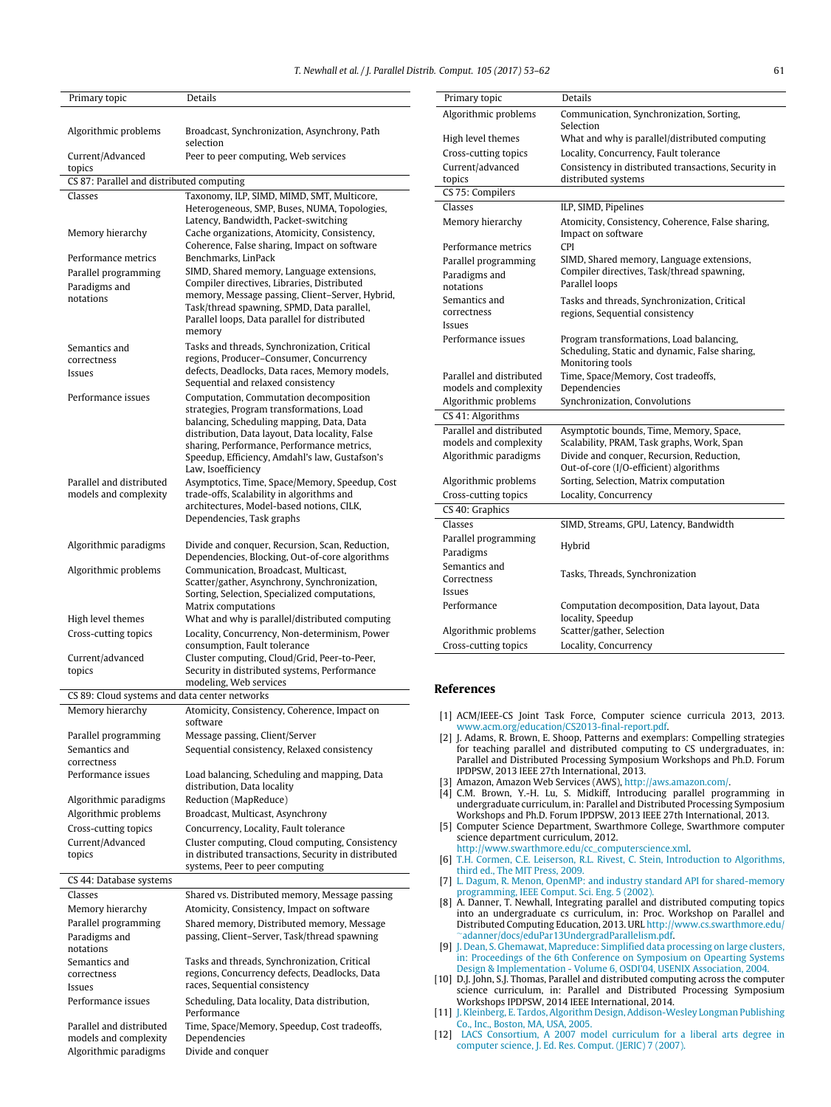Primary topic Details

| Primary topic                                      | Details                                                                                                                                                                                                                                                                                                   |
|----------------------------------------------------|-----------------------------------------------------------------------------------------------------------------------------------------------------------------------------------------------------------------------------------------------------------------------------------------------------------|
|                                                    |                                                                                                                                                                                                                                                                                                           |
| Algorithmic problems                               | Broadcast, Synchronization, Asynchrony, Path<br>selection                                                                                                                                                                                                                                                 |
| Current/Advanced<br>topics                         | Peer to peer computing, Web services                                                                                                                                                                                                                                                                      |
| CS 87: Parallel and distributed computing          |                                                                                                                                                                                                                                                                                                           |
| Classes                                            | Taxonomy, ILP, SIMD, MIMD, SMT, Multicore,<br>Heterogeneous, SMP, Buses, NUMA, Topologies,                                                                                                                                                                                                                |
| Memory hierarchy                                   | Latency, Bandwidth, Packet-switching<br>Cache organizations, Atomicity, Consistency,<br>Coherence, False sharing, Impact on software                                                                                                                                                                      |
| Performance metrics                                | Benchmarks, LinPack                                                                                                                                                                                                                                                                                       |
| Parallel programming                               | SIMD, Shared memory, Language extensions,                                                                                                                                                                                                                                                                 |
| Paradigms and<br>notations                         | Compiler directives, Libraries, Distributed<br>memory, Message passing, Client–Server, Hybrid,<br>Task/thread spawning, SPMD, Data parallel,<br>Parallel loops, Data parallel for distributed<br>memory                                                                                                   |
| Semantics and                                      | Tasks and threads, Synchronization, Critical                                                                                                                                                                                                                                                              |
| correctness                                        | regions, Producer-Consumer, Concurrency                                                                                                                                                                                                                                                                   |
| Issues                                             | defects, Deadlocks, Data races, Memory models,                                                                                                                                                                                                                                                            |
| Performance issues                                 | Sequential and relaxed consistency                                                                                                                                                                                                                                                                        |
|                                                    | Computation, Commutation decomposition<br>strategies, Program transformations, Load<br>balancing, Scheduling mapping, Data, Data<br>distribution, Data layout, Data locality, False<br>sharing, Performance, Performance metrics,<br>Speedup, Efficiency, Amdahl's law, Gustafson's<br>Law, Isoefficiency |
| Parallel and distributed                           | Asymptotics, Time, Space/Memory, Speedup, Cost                                                                                                                                                                                                                                                            |
| models and complexity                              | trade-offs, Scalability in algorithms and<br>architectures, Model-based notions, CILK,<br>Dependencies, Task graphs                                                                                                                                                                                       |
| Algorithmic paradigms                              | Divide and conquer, Recursion, Scan, Reduction,<br>Dependencies, Blocking, Out-of-core algorithms                                                                                                                                                                                                         |
| Algorithmic problems                               | Communication, Broadcast, Multicast,<br>Scatter/gather, Asynchrony, Synchronization,<br>Sorting, Selection, Specialized computations,<br>Matrix computations                                                                                                                                              |
| High level themes                                  | What and why is parallel/distributed computing                                                                                                                                                                                                                                                            |
| Cross-cutting topics                               | Locality, Concurrency, Non-determinism, Power<br>consumption, Fault tolerance                                                                                                                                                                                                                             |
| Current/advanced<br>topics                         | Cluster computing, Cloud/Grid, Peer-to-Peer,<br>Security in distributed systems, Performance                                                                                                                                                                                                              |
|                                                    | modeling, Web services                                                                                                                                                                                                                                                                                    |
| CS 89: Cloud systems and data center networks      |                                                                                                                                                                                                                                                                                                           |
| Memory hierarchy                                   | Atomicity, Consistency, Coherence, Impact on                                                                                                                                                                                                                                                              |
| Parallel programming                               | software<br>Message passing, Client/Server                                                                                                                                                                                                                                                                |
| Semantics and                                      | Sequential consistency, Relaxed consistency                                                                                                                                                                                                                                                               |
| correctness                                        |                                                                                                                                                                                                                                                                                                           |
| Performance issues                                 | Load balancing, Scheduling and mapping, Data<br>distribution, Data locality                                                                                                                                                                                                                               |
| Algorithmic paradigms                              | Reduction (MapReduce)                                                                                                                                                                                                                                                                                     |
| Algorithmic problems                               | Broadcast, Multicast, Asynchrony                                                                                                                                                                                                                                                                          |
| Cross-cutting topics                               | Concurrency, Locality, Fault tolerance                                                                                                                                                                                                                                                                    |
| Current/Advanced<br>topics                         | Cluster computing, Cloud computing, Consistency<br>in distributed transactions, Security in distributed<br>systems, Peer to peer computing                                                                                                                                                                |
| CS 44: Database systems                            |                                                                                                                                                                                                                                                                                                           |
| Classes                                            | Shared vs. Distributed memory, Message passing                                                                                                                                                                                                                                                            |
| Memory hierarchy                                   | Atomicity, Consistency, Impact on software                                                                                                                                                                                                                                                                |
| Parallel programming<br>Paradigms and<br>notations | Shared memory, Distributed memory, Message<br>passing, Client-Server, Task/thread spawning                                                                                                                                                                                                                |
| Semantics and                                      | Tasks and threads, Synchronization, Critical                                                                                                                                                                                                                                                              |
| correctness                                        | regions, Concurrency defects, Deadlocks, Data                                                                                                                                                                                                                                                             |
| Issues                                             | races, Sequential consistency                                                                                                                                                                                                                                                                             |
| Performance issues                                 | Scheduling, Data locality, Data distribution,<br>Performance                                                                                                                                                                                                                                              |
| Parallel and distributed                           | Time, Space/Memory, Speedup, Cost tradeoffs,                                                                                                                                                                                                                                                              |
| models and complexity<br>Algorithmic paradigms     | Dependencies<br>Divide and conquer                                                                                                                                                                                                                                                                        |
|                                                    |                                                                                                                                                                                                                                                                                                           |

Algorithmic problems Communication, Synchronization, Sorting, Selection High level themes What and why is parallel/distributed computing Cross-cutting topics Locality, Concurrency, Fault tolerance Current/advanced topics Consistency in distributed transactions, Security in distributed systems CS 75: Compilers Classes **ILP, SIMD, Pipelines** Memory hierarchy Atomicity, Consistency, Coherence, False sharing, Impact on software Performance metrics CPI Parallel programming SIMD, Shared memory, Language extensions, Compiler directives, Task/thread spawning, Parallel loops Paradigms and notations Semantics and correctness Tasks and threads, Synchronization, Critical regions, Sequential consistency Issues Performance issues Program transformations, Load balancing, Scheduling, Static and dynamic, False sharing, Monitoring tools Parallel and distributed models and complexity Time, Space/Memory, Cost tradeoffs, Dependencies Algorithmic problems Synchronization, Convolutions CS 41: Algorithms Parallel and distributed models and complexity Asymptotic bounds, Time, Memory, Space, Scalability, PRAM, Task graphs, Work, Span Algorithmic paradigms Divide and conquer, Recursion, Reduction, Out-of-core (I/O-efficient) algorithms Algorithmic problems Sorting, Selection, Matrix computation Cross-cutting topics Locality, Concurrency CS 40: Graphics Classes SIMD, Streams, GPU, Latency, Bandwidth Parallel programming Hybrid Paradigms Semantics and<br>Correctness Tasks, Threads, Synchronization Issues Performance Computation decomposition, Data layout, Data locality, Speedup Algorithmic problems Scatter/gather, Selection Cross-cutting topics Locality, Concurrency

## **References**

- <span id="page-8-0"></span>[1] ACM/IEEE-CS Joint Task Force, Computer science curricula 2013, 2013. [www.acm.org/education/CS2013-final-report.pdf.](http://www.acm.org/education/CS2013-final-report.pdf)
- <span id="page-8-10"></span>[2] J. Adams, R. Brown, E. Shoop, Patterns and exemplars: Compelling strategies for teaching parallel and distributed computing to CS undergraduates, in: Parallel and Distributed Processing Symposium Workshops and Ph.D. Forum IPDPSW, 2013 IEEE 27th International, 2013.
- <span id="page-8-6"></span>[3] Amazon, Amazon Web Services (AWS), [http://aws.amazon.com/.](http://aws.amazon.com/)
- <span id="page-8-9"></span>[4] C.M. Brown, Y.-H. Lu, S. Midkiff, Introducing parallel programming in undergraduate curriculum, in: Parallel and Distributed Processing Symposium Workshops and Ph.D. Forum IPDPSW, 2013 IEEE 27th International, 2013.
- <span id="page-8-2"></span>[5] Computer Science Department, Swarthmore College, Swarthmore computer science department curriculum, 2012. [http://www.swarthmore.edu/cc\\_computerscience.xml.](http://www.swarthmore.edu/cc_computerscience.xml)
- <span id="page-8-8"></span>[6] T.H[. Cormen, C.E. Leiserson, R.L. Rivest, C. Stein, Introduction to Algorithms,](http://refhub.elsevier.com/S0743-7315(17)30011-4/sbref6) third ed., The MIT Press, 2009.
- <span id="page-8-4"></span>[7] L. [Dagum, R. Menon, OpenMP: and industry standard API for shared-memory](http://refhub.elsevier.com/S0743-7315(17)30011-4/sbref7) programming, IEEE Comput. Sci. Eng. 5 (2002).
- <span id="page-8-3"></span>[8] A. Danner, T. Newhall, Integrating parallel and distributed computing topics into an undergraduate cs curriculum, in: Proc. Workshop on Parallel and Distributed Computing Education, 2013. URL [http://www.cs.swarthmore.edu/](http://www.cs.swarthmore.edu/~adanner/docs/eduPar13UndergradParallelism.pdf) <sup>∼</sup>[adanner/docs/eduPar13UndergradParallelism.pdf.](http://www.cs.swarthmore.edu/~adanner/docs/eduPar13UndergradParallelism.pdf)
- <span id="page-8-5"></span>[9] J. D[ean, S. Ghemawat, Mapreduce: Simplified data processing on large clusters,](http://refhub.elsevier.com/S0743-7315(17)30011-4/sbref9) in: Proceedings of the 6th Conference on Symposium on Opearting Systems Design & Implementation - Volume 6, OSDI'04, USENIX Association, 2004.
- <span id="page-8-11"></span>[10] D.J. John, S.J. Thomas, Parallel and distributed computing across the computer science curriculum, in: Parallel and Distributed Processing Symposium Workshops IPDPSW, 2014 IEEE International, 2014.
- <span id="page-8-7"></span>[11] J. K[leinberg, E. Tardos, Algorithm Design, Addison-Wesley Longman Publishing](http://refhub.elsevier.com/S0743-7315(17)30011-4/sbref11) Co., Inc., Boston, MA, USA, 2005.
- <span id="page-8-1"></span>[12] L[ACS Consortium, A 2007 model curriculum for a liberal arts degree in](http://refhub.elsevier.com/S0743-7315(17)30011-4/sbref12) computer science, J. Ed. Res. Comput. (JERIC) 7 (2007).